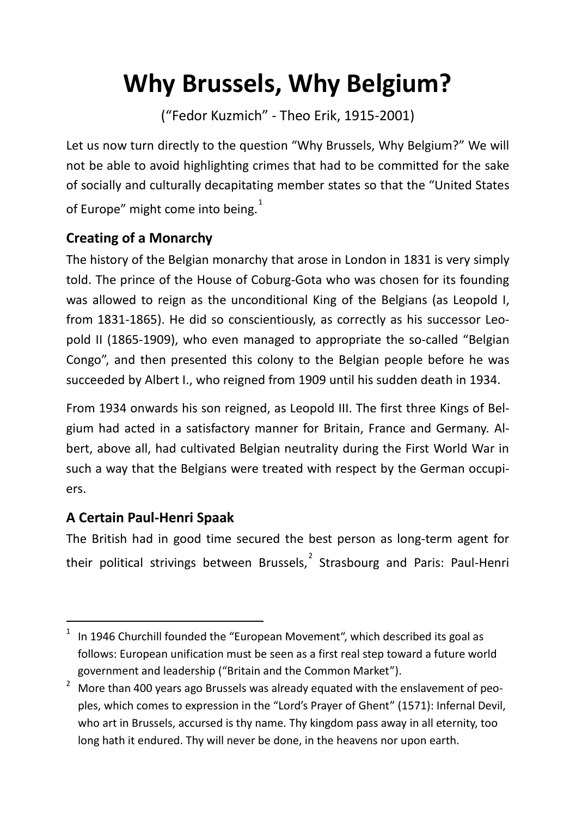# **Why Brussels, Why Belgium?**

("Fedor Kuzmich" - Theo Erik, 1915-2001)

Let us now turn directly to the question "Why Brussels, Why Belgium?" We will not be able to avoid highlighting crimes that had to be committed for the sake of socially and culturally decapitating member states so that the "United States of Europe" might come into being. $1$ 

## **Creating of a Monarchy**

The history of the Belgian monarchy that arose in London in 1831 is very simply told. The prince of the House of Coburg-Gota who was chosen for its founding was allowed to reign as the unconditional King of the Belgians (as Leopold I, from 1831-1865). He did so conscientiously, as correctly as his successor Leopold II (1865-1909), who even managed to appropriate the so-called "Belgian Congo", and then presented this colony to the Belgian people before he was succeeded by Albert I., who reigned from 1909 until his sudden death in 1934.

From 1934 onwards his son reigned, as Leopold III. The first three Kings of Belgium had acted in a satisfactory manner for Britain, France and Germany. Albert, above all, had cultivated Belgian neutrality during the First World War in such a way that the Belgians were treated with respect by the German occupiers.

## **A Certain Paul-Henri Spaak**

The British had in good time secured the best person as long-term agent for their political strivings between Brussels,  $2$  Strasbourg and Paris: Paul-Henri

<span id="page-0-0"></span>In 1946 Churchill founded the "European Movement", which described its goal as follows: European unification must be seen as a first real step toward a future world government and leadership ("Britain and the Common Market").

<span id="page-0-1"></span><sup>2</sup> More than 400 years ago Brussels was already equated with the enslavement of peoples, which comes to expression in the "Lord's Prayer of Ghent" (1571): Infernal Devil, who art in Brussels, accursed is thy name. Thy kingdom pass away in all eternity, too long hath it endured. Thy will never be done, in the heavens nor upon earth.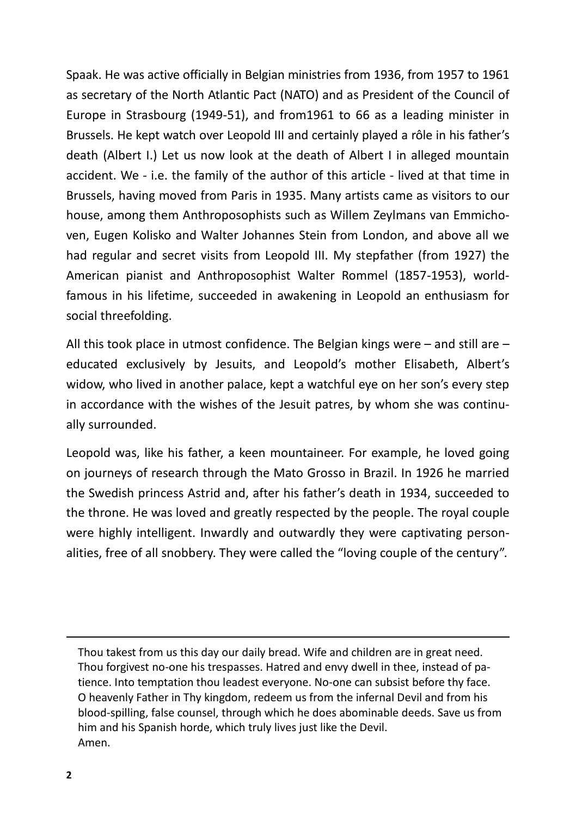Spaak. He was active officially in Belgian ministries from 1936, from 1957 to 1961 as secretary of the North Atlantic Pact (NATO) and as President of the Council of Europe in Strasbourg (1949-51), and from1961 to 66 as a leading minister in Brussels. He kept watch over Leopold III and certainly played a rôle in his father's death (Albert I.) Let us now look at the death of Albert I in alleged mountain accident. We - i.e. the family of the author of this article - lived at that time in Brussels, having moved from Paris in 1935. Many artists came as visitors to our house, among them Anthroposophists such as Willem Zeylmans van Emmichoven, Eugen Kolisko and Walter Johannes Stein from London, and above all we had regular and secret visits from Leopold III. My stepfather (from 1927) the American pianist and Anthroposophist Walter Rommel (1857-1953), worldfamous in his lifetime, succeeded in awakening in Leopold an enthusiasm for social threefolding.

All this took place in utmost confidence. The Belgian kings were – and still are – educated exclusively by Jesuits, and Leopold's mother Elisabeth, Albert's widow, who lived in another palace, kept a watchful eye on her son's every step in accordance with the wishes of the Jesuit patres, by whom she was continually surrounded.

Leopold was, like his father, a keen mountaineer. For example, he loved going on journeys of research through the Mato Grosso in Brazil. In 1926 he married the Swedish princess Astrid and, after his father's death in 1934, succeeded to the throne. He was loved and greatly respected by the people. The royal couple were highly intelligent. Inwardly and outwardly they were captivating personalities, free of all snobbery. They were called the "loving couple of the century".

Thou takest from us this day our daily bread. Wife and children are in great need. Thou forgivest no-one his trespasses. Hatred and envy dwell in thee, instead of patience. Into temptation thou leadest everyone. No-one can subsist before thy face. O heavenly Father in Thy kingdom, redeem us from the infernal Devil and from his blood-spilling, false counsel, through which he does abominable deeds. Save us from him and his Spanish horde, which truly lives just like the Devil. Amen.

 $\overline{a}$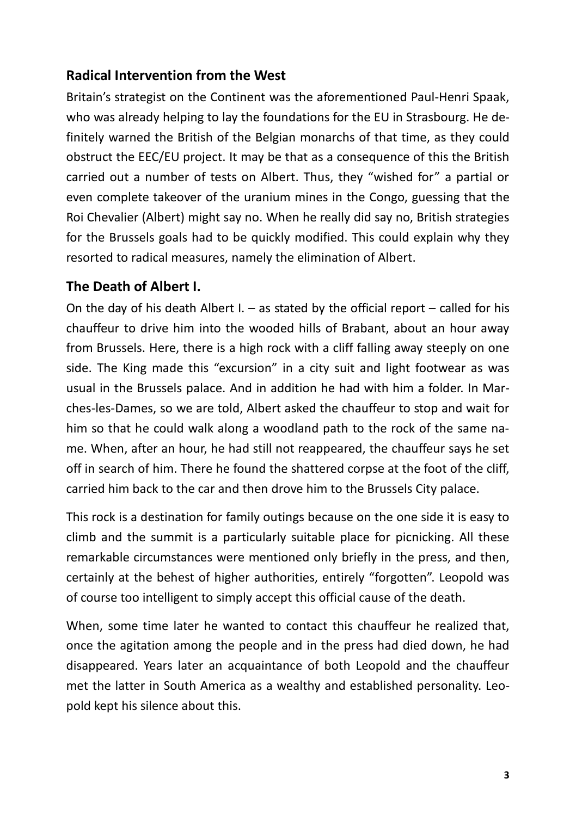#### **Radical Intervention from the West**

Britain's strategist on the Continent was the aforementioned Paul-Henri Spaak, who was already helping to lay the foundations for the EU in Strasbourg. He definitely warned the British of the Belgian monarchs of that time, as they could obstruct the EEC/EU project. It may be that as a consequence of this the British carried out a number of tests on Albert. Thus, they "wished for" a partial or even complete takeover of the uranium mines in the Congo, guessing that the Roi Chevalier (Albert) might say no. When he really did say no, British strategies for the Brussels goals had to be quickly modified. This could explain why they resorted to radical measures, namely the elimination of Albert.

#### **The Death of Albert I.**

On the day of his death Albert I.  $-$  as stated by the official report  $-$  called for his chauffeur to drive him into the wooded hills of Brabant, about an hour away from Brussels. Here, there is a high rock with a cliff falling away steeply on one side. The King made this "excursion" in a city suit and light footwear as was usual in the Brussels palace. And in addition he had with him a folder. In Marches-les-Dames, so we are told, Albert asked the chauffeur to stop and wait for him so that he could walk along a woodland path to the rock of the same name. When, after an hour, he had still not reappeared, the chauffeur says he set off in search of him. There he found the shattered corpse at the foot of the cliff, carried him back to the car and then drove him to the Brussels City palace.

This rock is a destination for family outings because on the one side it is easy to climb and the summit is a particularly suitable place for picnicking. All these remarkable circumstances were mentioned only briefly in the press, and then, certainly at the behest of higher authorities, entirely "forgotten". Leopold was of course too intelligent to simply accept this official cause of the death.

When, some time later he wanted to contact this chauffeur he realized that, once the agitation among the people and in the press had died down, he had disappeared. Years later an acquaintance of both Leopold and the chauffeur met the latter in South America as a wealthy and established personality. Leopold kept his silence about this.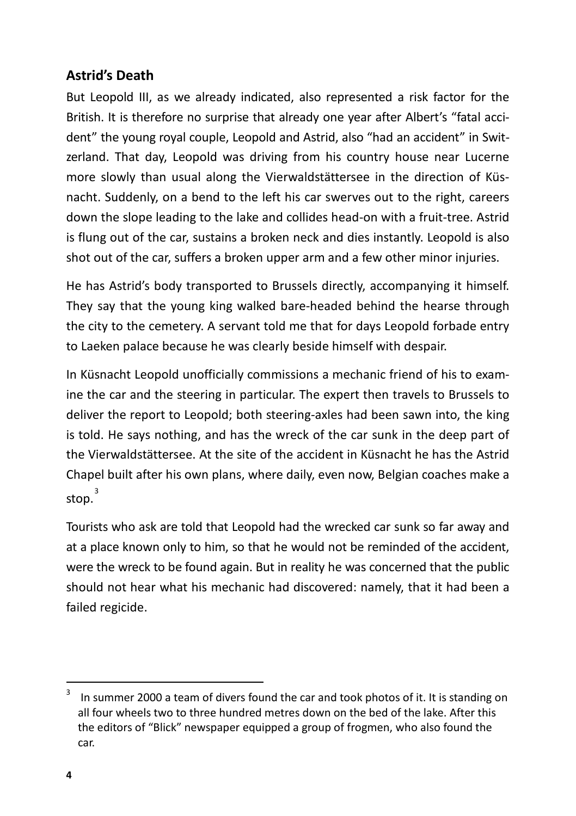#### **Astrid's Death**

But Leopold III, as we already indicated, also represented a risk factor for the British. It is therefore no surprise that already one year after Albert's "fatal accident" the young royal couple, Leopold and Astrid, also "had an accident" in Switzerland. That day, Leopold was driving from his country house near Lucerne more slowly than usual along the Vierwaldstättersee in the direction of Küsnacht. Suddenly, on a bend to the left his car swerves out to the right, careers down the slope leading to the lake and collides head-on with a fruit-tree. Astrid is flung out of the car, sustains a broken neck and dies instantly. Leopold is also shot out of the car, suffers a broken upper arm and a few other minor injuries.

He has Astrid's body transported to Brussels directly, accompanying it himself. They say that the young king walked bare-headed behind the hearse through the city to the cemetery. A servant told me that for days Leopold forbade entry to Laeken palace because he was clearly beside himself with despair.

In Küsnacht Leopold unofficially commissions a mechanic friend of his to examine the car and the steering in particular. The expert then travels to Brussels to deliver the report to Leopold; both steering-axles had been sawn into, the king is told. He says nothing, and has the wreck of the car sunk in the deep part of the Vierwaldstättersee. At the site of the accident in Küsnacht he has the Astrid Chapel built after his own plans, where daily, even now, Belgian coaches make a  $ston<sup>3</sup>$  $ston<sup>3</sup>$  $ston<sup>3</sup>$ 

Tourists who ask are told that Leopold had the wrecked car sunk so far away and at a place known only to him, so that he would not be reminded of the accident, were the wreck to be found again. But in reality he was concerned that the public should not hear what his mechanic had discovered: namely, that it had been a failed regicide.

<span id="page-3-0"></span>In summer 2000 a team of divers found the car and took photos of it. It is standing on all four wheels two to three hundred metres down on the bed of the lake. After this the editors of "Blick" newspaper equipped a group of frogmen, who also found the car.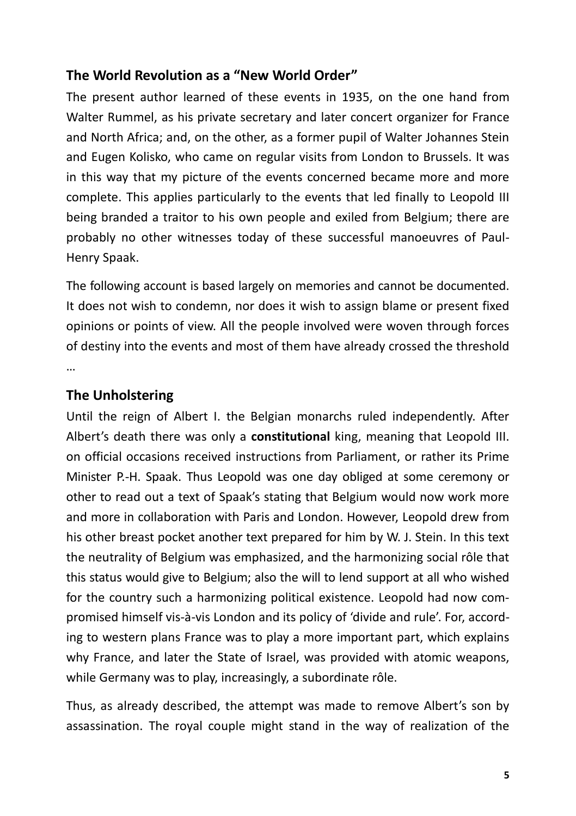#### **The World Revolution as a "New World Order"**

The present author learned of these events in 1935, on the one hand from Walter Rummel, as his private secretary and later concert organizer for France and North Africa; and, on the other, as a former pupil of Walter Johannes Stein and Eugen Kolisko, who came on regular visits from London to Brussels. It was in this way that my picture of the events concerned became more and more complete. This applies particularly to the events that led finally to Leopold III being branded a traitor to his own people and exiled from Belgium; there are probably no other witnesses today of these successful manoeuvres of Paul-Henry Spaak.

The following account is based largely on memories and cannot be documented. It does not wish to condemn, nor does it wish to assign blame or present fixed opinions or points of view. All the people involved were woven through forces of destiny into the events and most of them have already crossed the threshold …

### **The Unholstering**

Until the reign of Albert I. the Belgian monarchs ruled independently. After Albert's death there was only a **constitutional** king, meaning that Leopold III. on official occasions received instructions from Parliament, or rather its Prime Minister P.-H. Spaak. Thus Leopold was one day obliged at some ceremony or other to read out a text of Spaak's stating that Belgium would now work more and more in collaboration with Paris and London. However, Leopold drew from his other breast pocket another text prepared for him by W. J. Stein. In this text the neutrality of Belgium was emphasized, and the harmonizing social rôle that this status would give to Belgium; also the will to lend support at all who wished for the country such a harmonizing political existence. Leopold had now compromised himself vis-à-vis London and its policy of 'divide and rule'. For, according to western plans France was to play a more important part, which explains why France, and later the State of Israel, was provided with atomic weapons, while Germany was to play, increasingly, a subordinate rôle.

Thus, as already described, the attempt was made to remove Albert's son by assassination. The royal couple might stand in the way of realization of the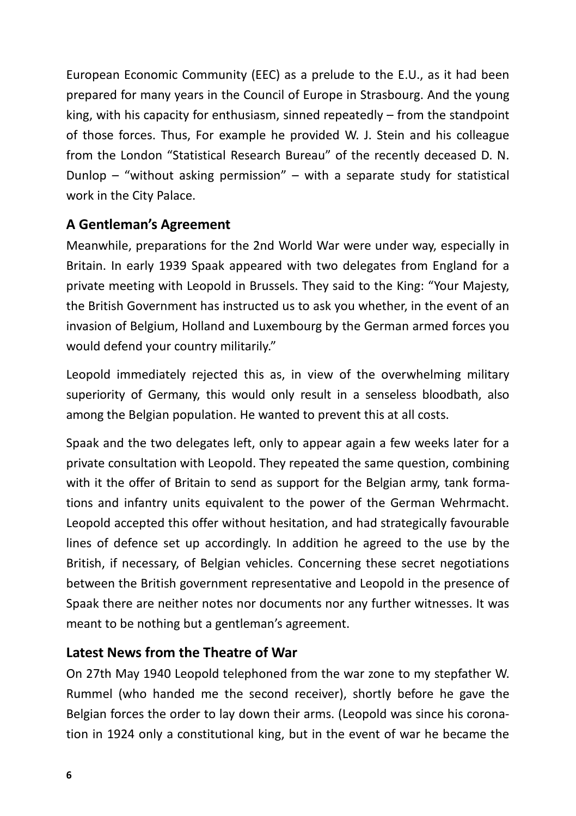European Economic Community (EEC) as a prelude to the E.U., as it had been prepared for many years in the Council of Europe in Strasbourg. And the young king, with his capacity for enthusiasm, sinned repeatedly – from the standpoint of those forces. Thus, For example he provided W. J. Stein and his colleague from the London "Statistical Research Bureau" of the recently deceased D. N. Dunlop – "without asking permission" – with a separate study for statistical work in the City Palace.

#### **A Gentleman's Agreement**

Meanwhile, preparations for the 2nd World War were under way, especially in Britain. In early 1939 Spaak appeared with two delegates from England for a private meeting with Leopold in Brussels. They said to the King: "Your Majesty, the British Government has instructed us to ask you whether, in the event of an invasion of Belgium, Holland and Luxembourg by the German armed forces you would defend your country militarily."

Leopold immediately rejected this as, in view of the overwhelming military superiority of Germany, this would only result in a senseless bloodbath, also among the Belgian population. He wanted to prevent this at all costs.

Spaak and the two delegates left, only to appear again a few weeks later for a private consultation with Leopold. They repeated the same question, combining with it the offer of Britain to send as support for the Belgian army, tank formations and infantry units equivalent to the power of the German Wehrmacht. Leopold accepted this offer without hesitation, and had strategically favourable lines of defence set up accordingly. In addition he agreed to the use by the British, if necessary, of Belgian vehicles. Concerning these secret negotiations between the British government representative and Leopold in the presence of Spaak there are neither notes nor documents nor any further witnesses. It was meant to be nothing but a gentleman's agreement.

#### **Latest News from the Theatre of War**

On 27th May 1940 Leopold telephoned from the war zone to my stepfather W. Rummel (who handed me the second receiver), shortly before he gave the Belgian forces the order to lay down their arms. (Leopold was since his coronation in 1924 only a constitutional king, but in the event of war he became the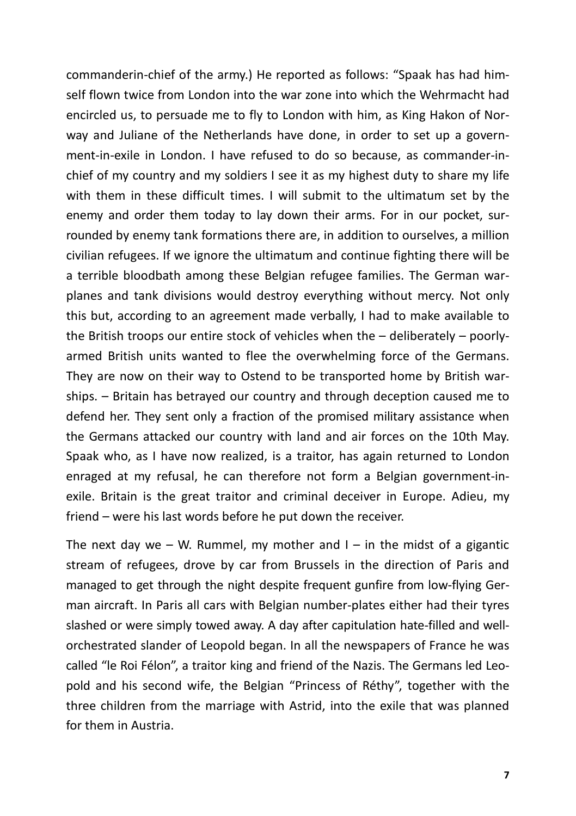commanderin-chief of the army.) He reported as follows: "Spaak has had himself flown twice from London into the war zone into which the Wehrmacht had encircled us, to persuade me to fly to London with him, as King Hakon of Norway and Juliane of the Netherlands have done, in order to set up a government-in-exile in London. I have refused to do so because, as commander-inchief of my country and my soldiers I see it as my highest duty to share my life with them in these difficult times. I will submit to the ultimatum set by the enemy and order them today to lay down their arms. For in our pocket, surrounded by enemy tank formations there are, in addition to ourselves, a million civilian refugees. If we ignore the ultimatum and continue fighting there will be a terrible bloodbath among these Belgian refugee families. The German warplanes and tank divisions would destroy everything without mercy. Not only this but, according to an agreement made verbally, I had to make available to the British troops our entire stock of vehicles when the – deliberately – poorlyarmed British units wanted to flee the overwhelming force of the Germans. They are now on their way to Ostend to be transported home by British warships. – Britain has betrayed our country and through deception caused me to defend her. They sent only a fraction of the promised military assistance when the Germans attacked our country with land and air forces on the 10th May. Spaak who, as I have now realized, is a traitor, has again returned to London enraged at my refusal, he can therefore not form a Belgian government-inexile. Britain is the great traitor and criminal deceiver in Europe. Adieu, my friend – were his last words before he put down the receiver.

The next day we – W. Rummel, my mother and  $I - in$  the midst of a gigantic stream of refugees, drove by car from Brussels in the direction of Paris and managed to get through the night despite frequent gunfire from low-flying German aircraft. In Paris all cars with Belgian number-plates either had their tyres slashed or were simply towed away. A day after capitulation hate-filled and wellorchestrated slander of Leopold began. In all the newspapers of France he was called "le Roi Félon", a traitor king and friend of the Nazis. The Germans led Leopold and his second wife, the Belgian "Princess of Réthy", together with the three children from the marriage with Astrid, into the exile that was planned for them in Austria.